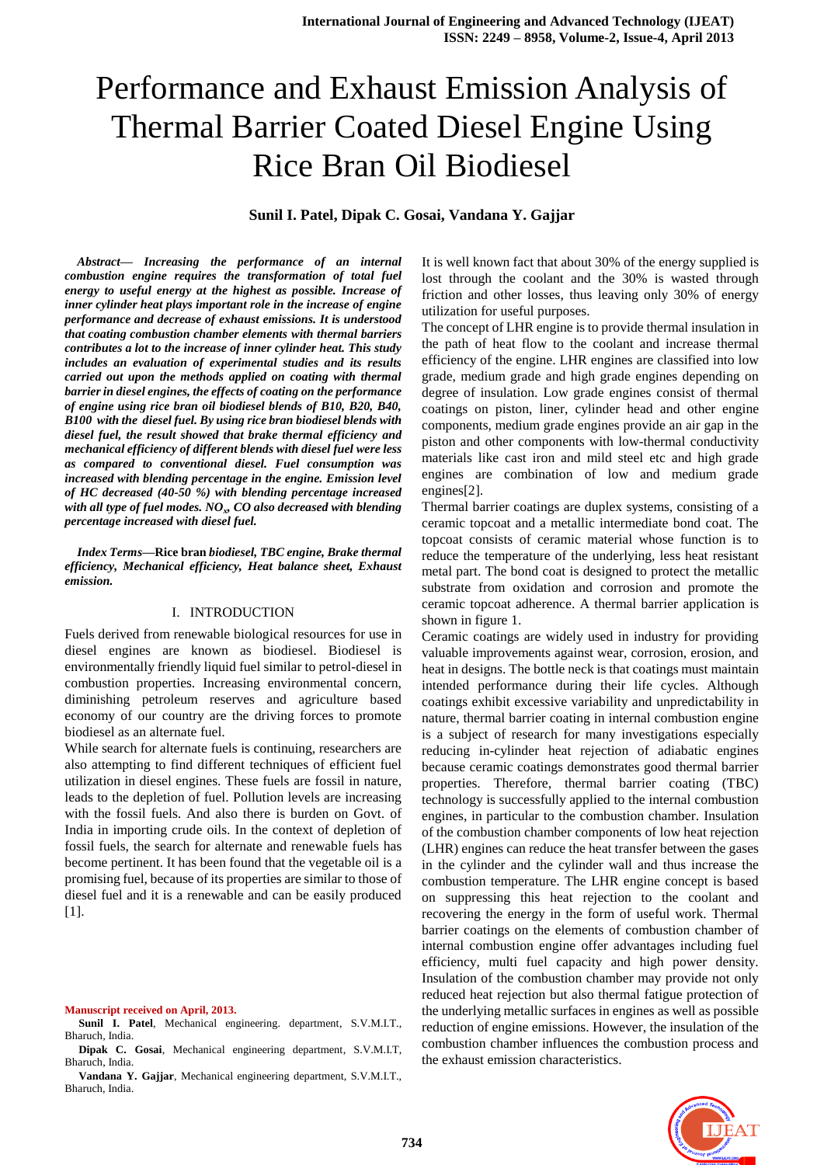# Performance and Exhaust Emission Analysis of Thermal Barrier Coated Diesel Engine Using Rice Bran Oil Biodiesel

# **Sunil I. Patel, Dipak C. Gosai, Vandana Y. Gajjar**

*Abstract***—** *Increasing the performance of an internal combustion engine requires the transformation of total fuel energy to useful energy at the highest as possible. Increase of inner cylinder heat plays important role in the increase of engine performance and decrease of exhaust emissions. It is understood that coating combustion chamber elements with thermal barriers contributes a lot to the increase of inner cylinder heat. This study includes an evaluation of experimental studies and its results carried out upon the methods applied on coating with thermal barrier in diesel engines, the effects of coating on the performance of engine using rice bran oil biodiesel blends of B10, B20, B40, B100 with the diesel fuel. By using rice bran biodiesel blends with diesel fuel, the result showed that brake thermal efficiency and mechanical efficiency of different blends with diesel fuel were less as compared to conventional diesel. Fuel consumption was increased with blending percentage in the engine. Emission level of HC decreased (40-50 %) with blending percentage increased with all type of fuel modes. NO<sup>x</sup> , CO also decreased with blending percentage increased with diesel fuel.* 

*Index Terms***—Rice bran** *biodiesel, TBC engine, Brake thermal efficiency, Mechanical efficiency, Heat balance sheet, Exhaust emission.*

#### I. INTRODUCTION

Fuels derived from renewable biological resources for use in diesel engines are known as biodiesel. Biodiesel is environmentally friendly liquid fuel similar to petrol-diesel in combustion properties. Increasing environmental concern, diminishing petroleum reserves and agriculture based economy of our country are the driving forces to promote biodiesel as an alternate fuel.

While search for alternate fuels is continuing, researchers are also attempting to find different techniques of efficient fuel utilization in diesel engines. These fuels are fossil in nature, leads to the depletion of fuel. Pollution levels are increasing with the fossil fuels. And also there is burden on Govt. of India in importing crude oils. In the context of depletion of fossil fuels, the search for alternate and renewable fuels has become pertinent. It has been found that the vegetable oil is a promising fuel, because of its properties are similar to those of diesel fuel and it is a renewable and can be easily produced [1].

**Manuscript received on April, 2013.**

- **Sunil I. Patel**, Mechanical engineering. department, S.V.M.I.T., Bharuch, India.
- **Dipak C. Gosai**, Mechanical engineering department, S.V.M.I.T, Bharuch, India.
- **Vandana Y. Gajjar**, Mechanical engineering department, S.V.M.I.T., Bharuch, India.

It is well known fact that about 30% of the energy supplied is lost through the coolant and the 30% is wasted through friction and other losses, thus leaving only 30% of energy utilization for useful purposes.

The concept of LHR engine is to provide thermal insulation in the path of heat flow to the coolant and increase thermal efficiency of the engine. LHR engines are classified into low grade, medium grade and high grade engines depending on degree of insulation. Low grade engines consist of thermal coatings on piston, liner, cylinder head and other engine components, medium grade engines provide an air gap in the piston and other components with low-thermal conductivity materials like cast iron and mild steel etc and high grade engines are combination of low and medium grade engines[2].

Thermal barrier coatings are duplex systems, consisting of a ceramic topcoat and a metallic intermediate bond coat. The topcoat consists of ceramic material whose function is to reduce the temperature of the underlying, less heat resistant metal part. The bond coat is designed to protect the metallic substrate from oxidation and corrosion and promote the ceramic topcoat adherence. A thermal barrier application is shown in figure 1.

Ceramic coatings are widely used in industry for providing valuable improvements against wear, corrosion, erosion, and heat in designs. The bottle neck is that coatings must maintain intended performance during their life cycles. Although coatings exhibit excessive variability and unpredictability in nature, thermal barrier coating in internal combustion engine is a subject of research for many investigations especially reducing in-cylinder heat rejection of adiabatic engines because ceramic coatings demonstrates good thermal barrier properties. Therefore, thermal barrier coating (TBC) technology is successfully applied to the internal combustion engines, in particular to the combustion chamber. Insulation of the combustion chamber components of low heat rejection (LHR) engines can reduce the heat transfer between the gases in the cylinder and the cylinder wall and thus increase the combustion temperature. The LHR engine concept is based on suppressing this heat rejection to the coolant and recovering the energy in the form of useful work. Thermal barrier coatings on the elements of combustion chamber of internal combustion engine offer advantages including fuel efficiency, multi fuel capacity and high power density. Insulation of the combustion chamber may provide not only reduced heat rejection but also thermal fatigue protection of the underlying metallic surfaces in engines as well as possible reduction of engine emissions. However, the insulation of the combustion chamber influences the combustion process and the exhaust emission characteristics.

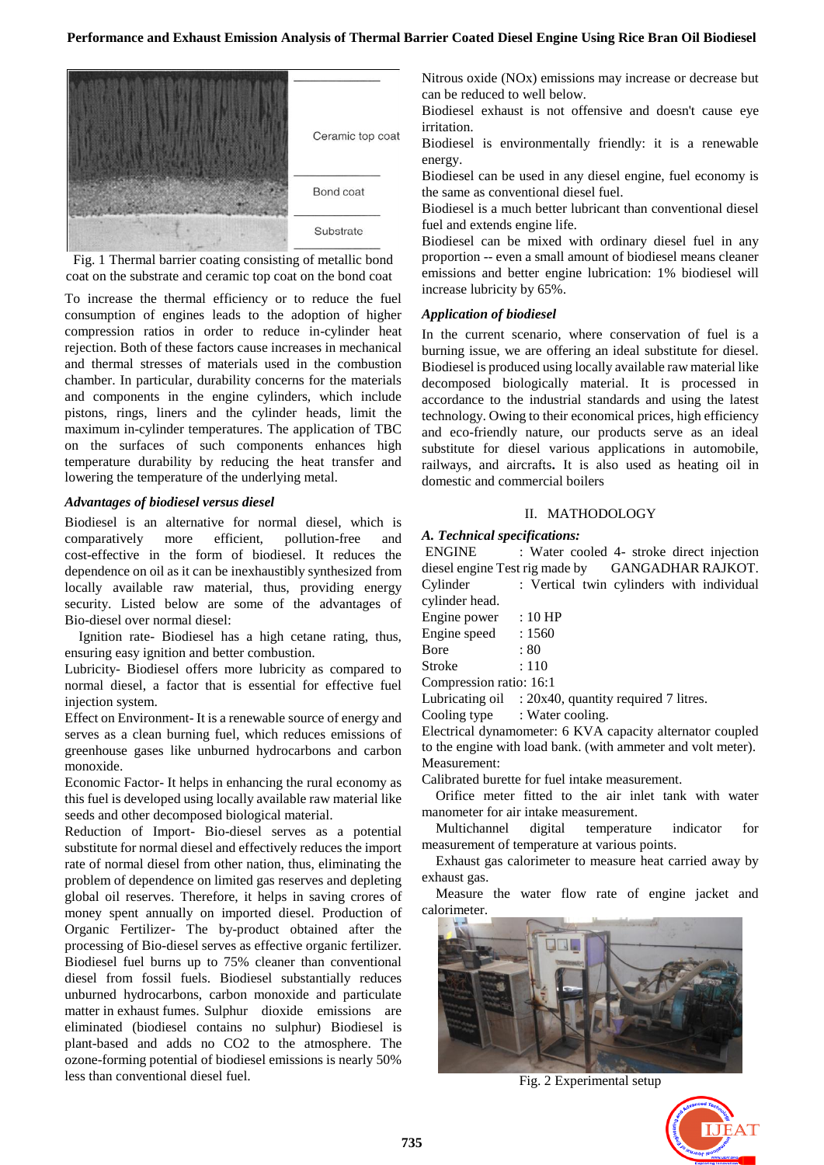

Fig. 1 Thermal barrier coating consisting of metallic bond coat on the substrate and ceramic top coat on the bond coat

To increase the thermal efficiency or to reduce the fuel consumption of engines leads to the adoption of higher compression ratios in order to reduce in-cylinder heat rejection. Both of these factors cause increases in mechanical and thermal stresses of materials used in the combustion chamber. In particular, durability concerns for the materials and components in the engine cylinders, which include pistons, rings, liners and the cylinder heads, limit the maximum in-cylinder temperatures. The application of TBC on the surfaces of such components enhances high temperature durability by reducing the heat transfer and lowering the temperature of the underlying metal.

#### *Advantages of biodiesel versus diesel*

Biodiesel is an alternative for normal diesel, which is comparatively more efficient, pollution-free and cost-effective in the form of biodiesel. It reduces the dependence on oil as it can be inexhaustibly synthesized from locally available raw material, thus, providing energy security. Listed below are some of the advantages of Bio-diesel over normal diesel:

Ignition rate- Biodiesel has a high cetane rating, thus, ensuring easy ignition and better combustion.

Lubricity- Biodiesel offers more lubricity as compared to normal diesel, a factor that is essential for effective fuel injection system.

Effect on Environment- It is a renewable source of energy and serves as a clean burning fuel, which reduces emissions of greenhouse gases like unburned hydrocarbons and carbon monoxide.

Economic Factor- It helps in enhancing the rural economy as this fuel is developed using locally available raw material like seeds and other decomposed biological material.

Reduction of Import- Bio-diesel serves as a potential substitute for normal diesel and effectively reduces the import rate of normal diesel from other nation, thus, eliminating the problem of dependence on limited gas reserves and depleting global oil reserves. Therefore, it helps in saving crores of money spent annually on imported diesel. Production of Organic Fertilizer- The by-product obtained after the processing of Bio-diesel serves as effective organic fertilizer. Biodiesel fuel burns up to 75% cleaner than conventional diesel from fossil fuels. Biodiesel substantially reduces unburned hydrocarbons, carbon monoxide and particulate matter in exhaust fumes. Sulphur dioxide emissions are eliminated (biodiesel contains no sulphur) Biodiesel is plant-based and adds no CO2 to the atmosphere. The ozone-forming potential of biodiesel emissions is nearly 50% less than conventional diesel fuel.

Nitrous oxide (NOx) emissions may increase or decrease but can be reduced to well below.

Biodiesel exhaust is not offensive and doesn't cause eye irritation.

Biodiesel is environmentally friendly: it is a renewable energy.

Biodiesel can be used in any diesel engine, fuel economy is the same as conventional diesel fuel.

Biodiesel is a much better lubricant than conventional diesel fuel and extends engine life.

Biodiesel can be mixed with ordinary diesel fuel in any proportion -- even a small amount of biodiesel means cleaner emissions and better engine lubrication: 1% biodiesel will increase lubricity by 65%.

# *Application of biodiesel*

In the current scenario, where conservation of fuel is a burning issue, we are offering an ideal substitute for diesel. Biodiesel is produced using locally available raw material like decomposed biologically material. It is processed in accordance to the industrial standards and using the latest technology. Owing to their economical prices, high efficiency and eco-friendly nature, our products serve as an ideal substitute for diesel various applications in automobile, railways, and aircrafts**.** It is also used as heating oil in domestic and commercial boilers

### II. MATHODOLOGY

# *A. Technical specifications:*

ENGINE : Water cooled 4- stroke direct injection diesel engine Test rig made by GANGADHAR RAJKOT. Cylinder : Vertical twin cylinders with individual cylinder head. Engine power : 10 HP Engine speed : 1560

| Lingune specu           | . 1900     |
|-------------------------|------------|
| <b>B</b> ore            | : 80       |
| Stroke                  | $\div$ 110 |
| Compression ratio: 16:1 |            |

Lubricating oil : 20x40, quantity required 7 litres.

Cooling type : Water cooling.

Electrical dynamometer: 6 KVA capacity alternator coupled to the engine with load bank. (with ammeter and volt meter). Measurement:

Calibrated burette for fuel intake measurement.

Orifice meter fitted to the air inlet tank with water manometer for air intake measurement.

Multichannel digital temperature indicator for measurement of temperature at various points.

Exhaust gas calorimeter to measure heat carried away by exhaust gas.

Measure the water flow rate of engine jacket and calorimeter.



Fig. 2 Experimental setup

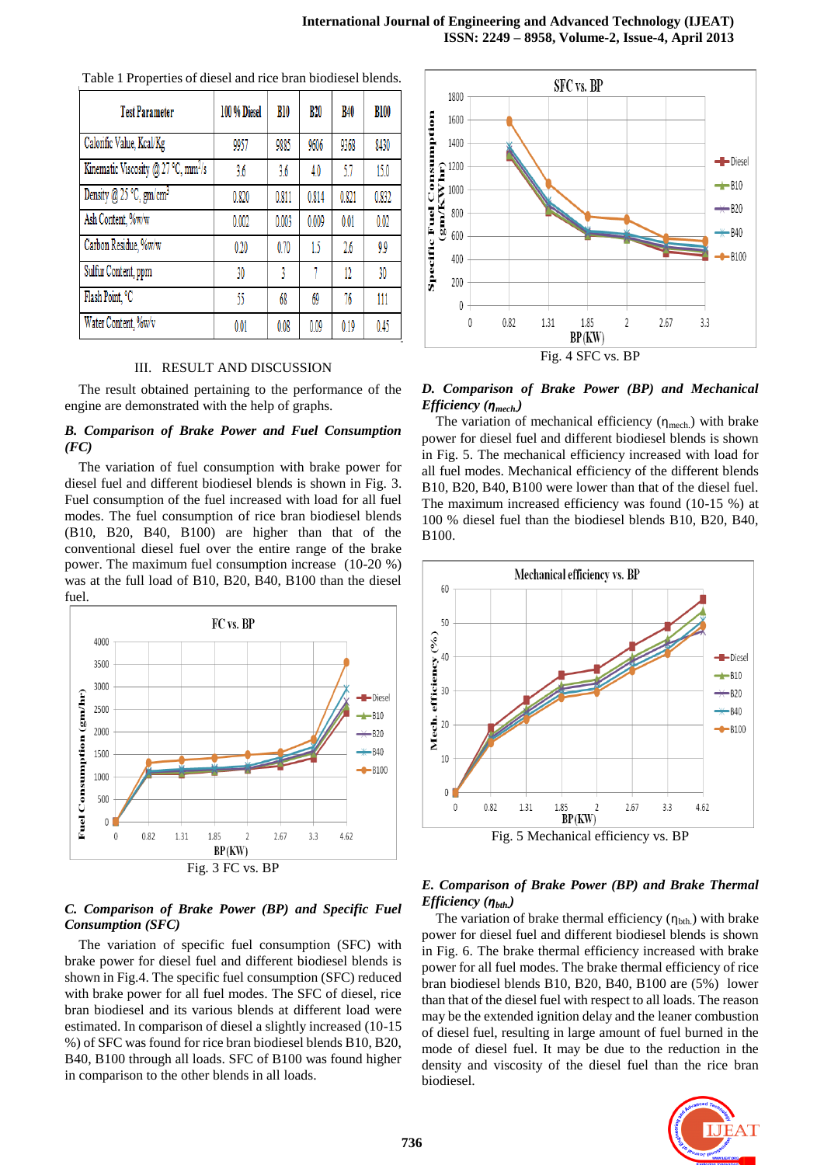| <b>Test Parameter</b>                           | 100 % Diesel | B10   | <b>B20</b> | <b>B40</b> | <b>B100</b> |
|-------------------------------------------------|--------------|-------|------------|------------|-------------|
| Calorific Value, Kcal/Kg                        | 9957         | 9885  | 9606       | 9368       | 8430        |
| Kinematic Viscosity @ 27 °C, mm <sup>2</sup> /s | 3.6          | 3.6   | 4.0        | 5.7        | 15.0        |
| Density @ 25 °C, $gm/cm3$                       | 0.820        | 0.811 | 0.814      | 0.821      | 0.832       |
| Ash Content, %w/w                               | 0.002        | 0.003 | 0.009      | 0.01       | 0.02        |
| Carbon Residue, %w/w                            | 0.20         | 0.70  | 15         | 2.6        | 9.9         |
| Sulfur Content, ppm                             | 30           | 3     |            | 12         | 30          |
| Flash Point, °C                                 | 55           | 68    | 69         | 76         | 111         |
| Water Content, %w/v                             | 0.01         | 0.08  | 0.09       | 0.19       | 0.45        |

Table 1 Properties of diesel and rice bran biodiesel blends.

#### III. RESULT AND DISCUSSION

The result obtained pertaining to the performance of the engine are demonstrated with the help of graphs.

# *B. Comparison of Brake Power and Fuel Consumption (FC)*

The variation of fuel consumption with brake power for diesel fuel and different biodiesel blends is shown in Fig. 3. Fuel consumption of the fuel increased with load for all fuel modes. The fuel consumption of rice bran biodiesel blends (B10, B20, B40, B100) are higher than that of the conventional diesel fuel over the entire range of the brake power. The maximum fuel consumption increase (10-20 %) was at the full load of B10, B20, B40, B100 than the diesel fuel.



# *C. Comparison of Brake Power (BP) and Specific Fuel Consumption (SFC)*

The variation of specific fuel consumption (SFC) with brake power for diesel fuel and different biodiesel blends is shown in Fig.4. The specific fuel consumption (SFC) reduced with brake power for all fuel modes. The SFC of diesel, rice bran biodiesel and its various blends at different load were estimated. In comparison of diesel a slightly increased (10-15 %) of SFC was found for rice bran biodiesel blends B10, B20, B40, B100 through all loads. SFC of B100 was found higher in comparison to the other blends in all loads.



# *D. Comparison of Brake Power (BP) and Mechanical Efficiency (ηmech.)*

The variation of mechanical efficiency  $(\eta_{\text{mech}})$  with brake power for diesel fuel and different biodiesel blends is shown in Fig. 5. The mechanical efficiency increased with load for all fuel modes. Mechanical efficiency of the different blends B10, B20, B40, B100 were lower than that of the diesel fuel. The maximum increased efficiency was found (10-15 %) at 100 % diesel fuel than the biodiesel blends B10, B20, B40, B100.



Fig. 5 Mechanical efficiency vs. BP

# *E. Comparison of Brake Power (BP) and Brake Thermal Efficiency* (*η<sub>bth</sub>*)

The variation of brake thermal efficiency  $(\eta_{\text{bth}})$  with brake power for diesel fuel and different biodiesel blends is shown in Fig. 6. The brake thermal efficiency increased with brake power for all fuel modes. The brake thermal efficiency of rice bran biodiesel blends B10, B20, B40, B100 are (5%) lower than that of the diesel fuel with respect to all loads. The reason may be the extended ignition delay and the leaner combustion of diesel fuel, resulting in large amount of fuel burned in the mode of diesel fuel. It may be due to the reduction in the density and viscosity of the diesel fuel than the rice bran biodiesel.

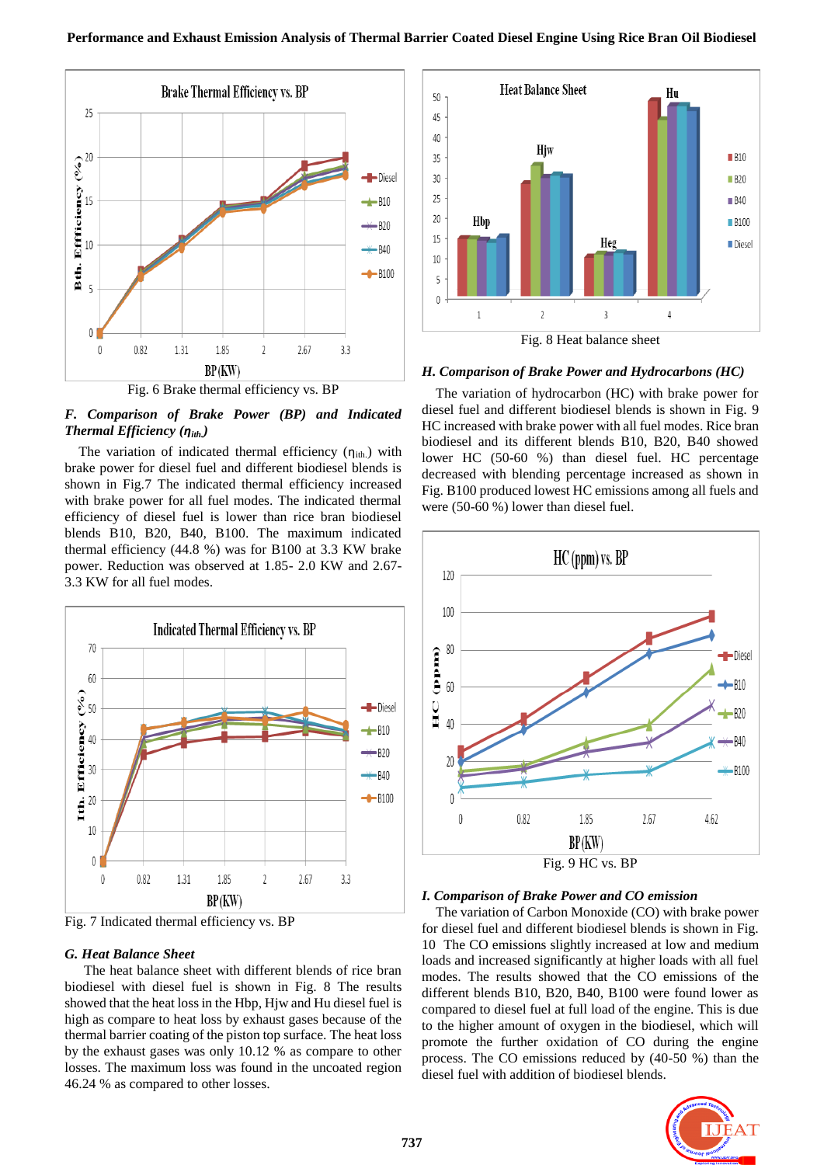

*F. Comparison of Brake Power (BP) and Indicated Thermal Efficiency (ηith.)*

The variation of indicated thermal efficiency  $(\eta_{ith})$  with brake power for diesel fuel and different biodiesel blends is shown in Fig.7 The indicated thermal efficiency increased with brake power for all fuel modes. The indicated thermal efficiency of diesel fuel is lower than rice bran biodiesel blends B10, B20, B40, B100. The maximum indicated thermal efficiency (44.8 %) was for B100 at 3.3 KW brake power. Reduction was observed at 1.85- 2.0 KW and 2.67- 3.3 KW for all fuel modes.



Fig. 7 Indicated thermal efficiency vs. BP

#### *G. Heat Balance Sheet*

The heat balance sheet with different blends of rice bran biodiesel with diesel fuel is shown in Fig. 8 The results showed that the heat loss in the Hbp, Hjw and Hu diesel fuel is high as compare to heat loss by exhaust gases because of the thermal barrier coating of the piston top surface. The heat loss by the exhaust gases was only 10.12 % as compare to other losses. The maximum loss was found in the uncoated region 46.24 % as compared to other losses.



Fig. 8 Heat balance sheet

# *H. Comparison of Brake Power and Hydrocarbons (HC)*

 The variation of hydrocarbon (HC) with brake power for diesel fuel and different biodiesel blends is shown in Fig. 9 HC increased with brake power with all fuel modes. Rice bran biodiesel and its different blends B10, B20, B40 showed lower HC (50-60 %) than diesel fuel. HC percentage decreased with blending percentage increased as shown in Fig. B100 produced lowest HC emissions among all fuels and were (50-60 %) lower than diesel fuel.



#### *I. Comparison of Brake Power and CO emission*

 The variation of Carbon Monoxide (CO) with brake power for diesel fuel and different biodiesel blends is shown in Fig. 10 The CO emissions slightly increased at low and medium loads and increased significantly at higher loads with all fuel modes. The results showed that the CO emissions of the different blends B10, B20, B40, B100 were found lower as compared to diesel fuel at full load of the engine. This is due to the higher amount of oxygen in the biodiesel, which will promote the further oxidation of CO during the engine process. The CO emissions reduced by (40-50 %) than the diesel fuel with addition of biodiesel blends.

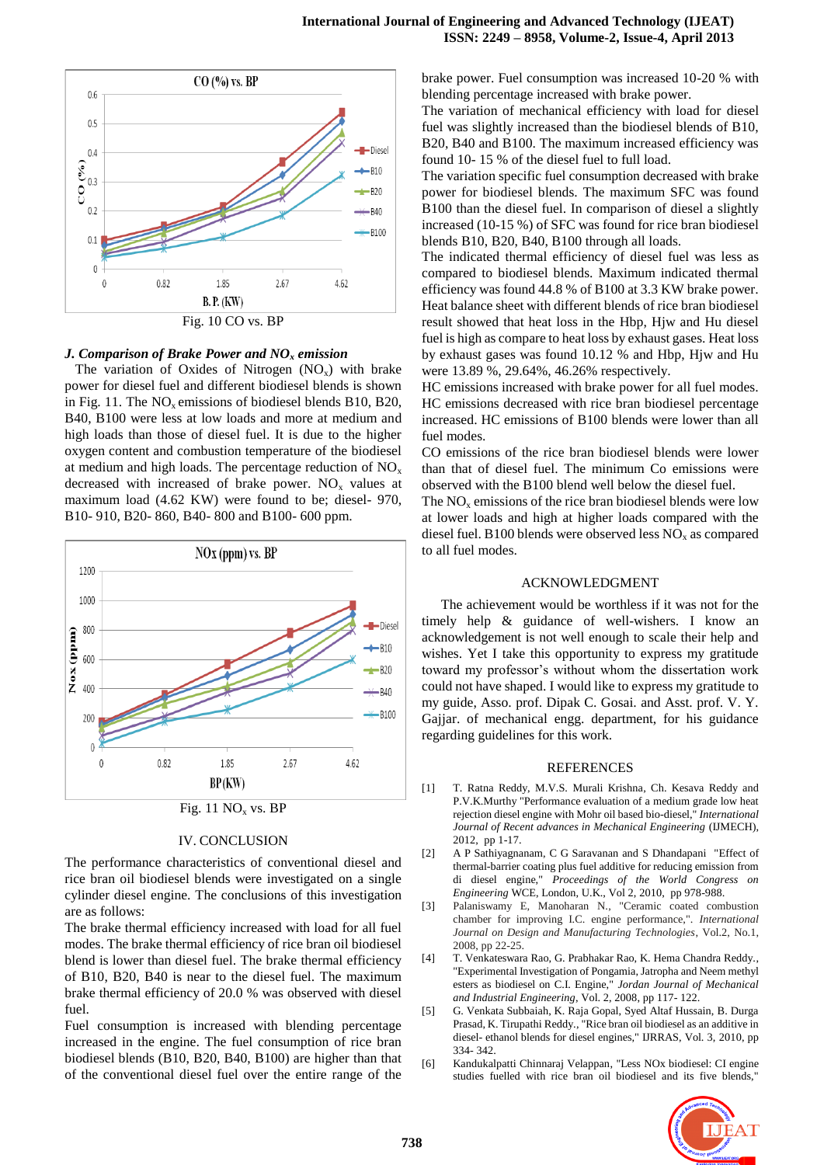



#### *J. Comparison of Brake Power and NO<sup>x</sup> emission*

The variation of Oxides of Nitrogen  $(NO_x)$  with brake power for diesel fuel and different biodiesel blends is shown in Fig. 11. The  $NO<sub>x</sub>$  emissions of biodiesel blends B10, B20, B40, B100 were less at low loads and more at medium and high loads than those of diesel fuel. It is due to the higher oxygen content and combustion temperature of the biodiesel at medium and high loads. The percentage reduction of  $NO<sub>x</sub>$ decreased with increased of brake power.  $NO<sub>x</sub>$  values at maximum load (4.62 KW) were found to be; diesel- 970, B10- 910, B20- 860, B40- 800 and B100- 600 ppm.



#### IV. CONCLUSION

The performance characteristics of conventional diesel and rice bran oil biodiesel blends were investigated on a single cylinder diesel engine. The conclusions of this investigation are as follows:

The brake thermal efficiency increased with load for all fuel modes. The brake thermal efficiency of rice bran oil biodiesel blend is lower than diesel fuel. The brake thermal efficiency of B10, B20, B40 is near to the diesel fuel. The maximum brake thermal efficiency of 20.0 % was observed with diesel fuel.

Fuel consumption is increased with blending percentage increased in the engine. The fuel consumption of rice bran biodiesel blends (B10, B20, B40, B100) are higher than that of the conventional diesel fuel over the entire range of the brake power. Fuel consumption was increased 10-20 % with blending percentage increased with brake power.

The variation of mechanical efficiency with load for diesel fuel was slightly increased than the biodiesel blends of B10, B20, B40 and B100. The maximum increased efficiency was found 10- 15 % of the diesel fuel to full load.

The variation specific fuel consumption decreased with brake power for biodiesel blends. The maximum SFC was found B100 than the diesel fuel. In comparison of diesel a slightly increased (10-15 %) of SFC was found for rice bran biodiesel blends B10, B20, B40, B100 through all loads.

The indicated thermal efficiency of diesel fuel was less as compared to biodiesel blends. Maximum indicated thermal efficiency was found 44.8 % of B100 at 3.3 KW brake power. Heat balance sheet with different blends of rice bran biodiesel result showed that heat loss in the Hbp, Hjw and Hu diesel fuel is high as compare to heat loss by exhaust gases. Heat loss by exhaust gases was found 10.12 % and Hbp, Hjw and Hu were 13.89 %, 29.64%, 46.26% respectively.

HC emissions increased with brake power for all fuel modes. HC emissions decreased with rice bran biodiesel percentage increased. HC emissions of B100 blends were lower than all fuel modes.

CO emissions of the rice bran biodiesel blends were lower than that of diesel fuel. The minimum Co emissions were observed with the B100 blend well below the diesel fuel.

The  $NO<sub>x</sub>$  emissions of the rice bran biodiesel blends were low at lower loads and high at higher loads compared with the diesel fuel. B100 blends were observed less  $NO<sub>x</sub>$  as compared to all fuel modes.

#### ACKNOWLEDGMENT

The achievement would be worthless if it was not for the timely help & guidance of well-wishers. I know an acknowledgement is not well enough to scale their help and wishes. Yet I take this opportunity to express my gratitude toward my professor's without whom the dissertation work could not have shaped. I would like to express my gratitude to my guide, Asso. prof. Dipak C. Gosai. and Asst. prof. V. Y. Gajjar. of mechanical engg. department, for his guidance regarding guidelines for this work.

#### REFERENCES

- [1] T. Ratna Reddy, M.V.S. Murali Krishna, Ch. Kesava Reddy and P.V.K.Murthy "Performance evaluation of a medium grade low heat rejection diesel engine with Mohr oil based bio-diesel," *International Journal of Recent advances in Mechanical Engineering* (IJMECH), 2012, pp 1-17.
- [2] A P Sathiyagnanam, C G Saravanan and S Dhandapani "Effect of thermal-barrier coating plus fuel additive for reducing emission from di diesel engine," *Proceedings of the World Congress on Engineering* WCE, London, U.K., Vol 2, 2010, pp 978-988.
- [3] Palaniswamy E, Manoharan N., "Ceramic coated combustion chamber for improving I.C. engine performance,". *International Journal on Design and Manufacturing Technologies*, Vol.2, No.1, 2008, pp 22-25.
- [4] T. Venkateswara Rao, G. Prabhakar Rao, K. Hema Chandra Reddy., "Experimental Investigation of Pongamia, Jatropha and Neem methyl esters as biodiesel on C.I. Engine," *Jordan Journal of Mechanical and Industrial Engineering*, Vol. 2, 2008, pp 117- 122.
- [5] G. Venkata Subbaiah, K. Raja Gopal, Syed Altaf Hussain, B. Durga Prasad, K. Tirupathi Reddy., "Rice bran oil biodiesel as an additive in diesel- ethanol blends for diesel engines," IJRRAS, Vol. 3, 2010, pp 334- 342.
- [6] Kandukalpatti Chinnaraj Velappan, "Less NOx biodiesel: CI engine studies fuelled with rice bran oil biodiesel and its five blends,"